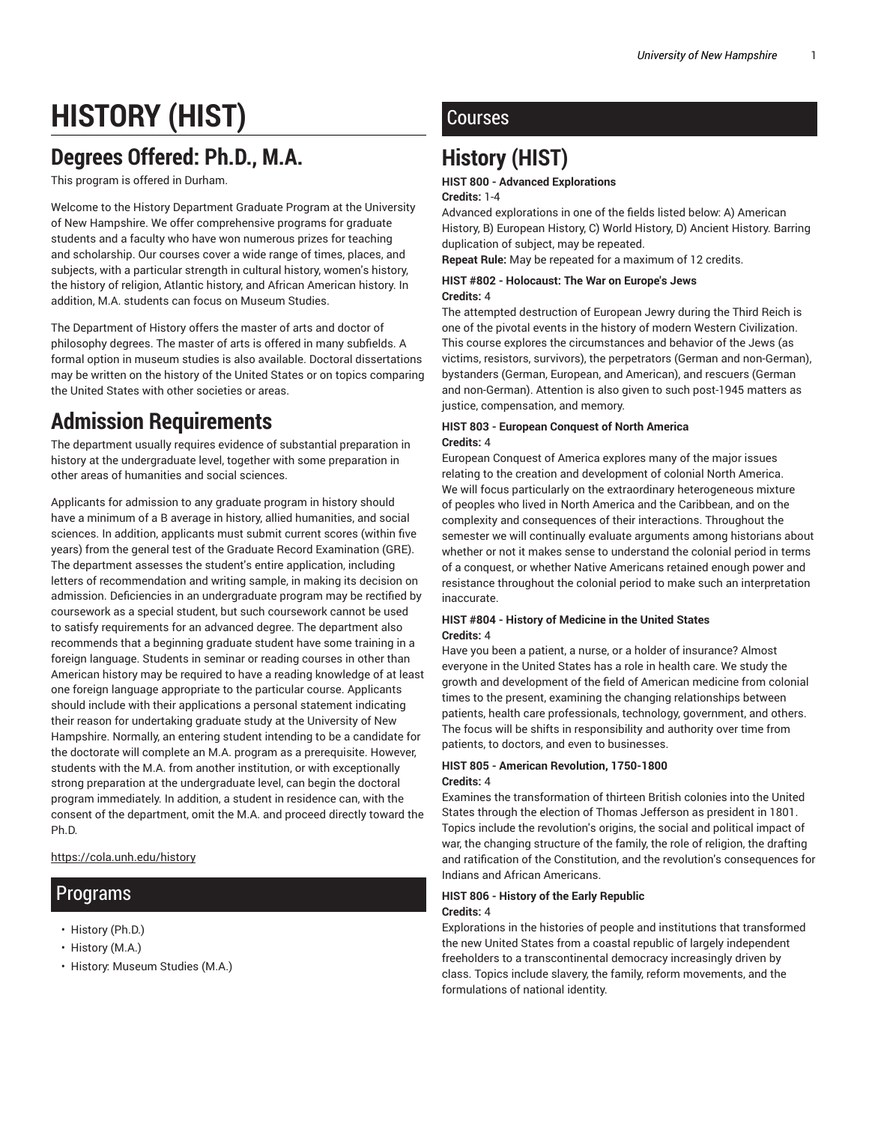# **HISTORY (HIST)**

## **Degrees Offered: Ph.D., M.A.**

This program is offered in Durham.

Welcome to the History Department Graduate Program at the University of New Hampshire. We offer comprehensive programs for graduate students and a faculty who have won numerous prizes for teaching and scholarship. Our courses cover a wide range of times, places, and subjects, with a particular strength in cultural history, women's history, the history of religion, Atlantic history, and African American history. In addition, M.A. students can focus on Museum Studies.

The Department of History offers the master of arts and doctor of philosophy degrees. The master of arts is offered in many subfields. A formal option in museum studies is also available. Doctoral dissertations may be written on the history of the United States or on topics comparing the United States with other societies or areas.

## **Admission Requirements**

The department usually requires evidence of substantial preparation in history at the undergraduate level, together with some preparation in other areas of humanities and social sciences.

Applicants for admission to any graduate program in history should have a minimum of a B average in history, allied humanities, and social sciences. In addition, applicants must submit current scores (within five years) from the general test of the Graduate Record Examination (GRE). The department assesses the student's entire application, including letters of recommendation and writing sample, in making its decision on admission. Deficiencies in an undergraduate program may be rectified by coursework as a special student, but such coursework cannot be used to satisfy requirements for an advanced degree. The department also recommends that a beginning graduate student have some training in a foreign language. Students in seminar or reading courses in other than American history may be required to have a reading knowledge of at least one foreign language appropriate to the particular course. Applicants should include with their applications a personal statement indicating their reason for undertaking graduate study at the University of New Hampshire. Normally, an entering student intending to be a candidate for the doctorate will complete an M.A. program as a prerequisite. However, students with the M.A. from another institution, or with exceptionally strong preparation at the undergraduate level, can begin the doctoral program immediately. In addition, a student in residence can, with the consent of the department, omit the M.A. and proceed directly toward the Ph.D.

https://cola.unh.edu/history

## Programs

- History (Ph.D.)
- History (M.A.)
- History: Museum Studies (M.A.)

## **Courses**

## **History (HIST)**

#### **HIST 800 - Advanced Explorations**

#### **Credits:** 1-4

Advanced explorations in one of the fields listed below: A) American History, B) European History, C) World History, D) Ancient History. Barring duplication of subject, may be repeated.

**Repeat Rule:** May be repeated for a maximum of 12 credits.

#### **HIST #802 - Holocaust: The War on Europe's Jews Credits:** 4

The attempted destruction of European Jewry during the Third Reich is one of the pivotal events in the history of modern Western Civilization. This course explores the circumstances and behavior of the Jews (as victims, resistors, survivors), the perpetrators (German and non-German), bystanders (German, European, and American), and rescuers (German and non-German). Attention is also given to such post-1945 matters as justice, compensation, and memory.

#### **HIST 803 - European Conquest of North America Credits:** 4

European Conquest of America explores many of the major issues relating to the creation and development of colonial North America. We will focus particularly on the extraordinary heterogeneous mixture of peoples who lived in North America and the Caribbean, and on the complexity and consequences of their interactions. Throughout the semester we will continually evaluate arguments among historians about whether or not it makes sense to understand the colonial period in terms of a conquest, or whether Native Americans retained enough power and resistance throughout the colonial period to make such an interpretation inaccurate.

#### **HIST #804 - History of Medicine in the United States Credits:** 4

Have you been a patient, a nurse, or a holder of insurance? Almost everyone in the United States has a role in health care. We study the growth and development of the field of American medicine from colonial times to the present, examining the changing relationships between patients, health care professionals, technology, government, and others. The focus will be shifts in responsibility and authority over time from patients, to doctors, and even to businesses.

#### **HIST 805 - American Revolution, 1750-1800 Credits:** 4

Examines the transformation of thirteen British colonies into the United States through the election of Thomas Jefferson as president in 1801. Topics include the revolution's origins, the social and political impact of war, the changing structure of the family, the role of religion, the drafting and ratification of the Constitution, and the revolution's consequences for Indians and African Americans.

#### **HIST 806 - History of the Early Republic Credits:** 4

Explorations in the histories of people and institutions that transformed the new United States from a coastal republic of largely independent freeholders to a transcontinental democracy increasingly driven by class. Topics include slavery, the family, reform movements, and the formulations of national identity.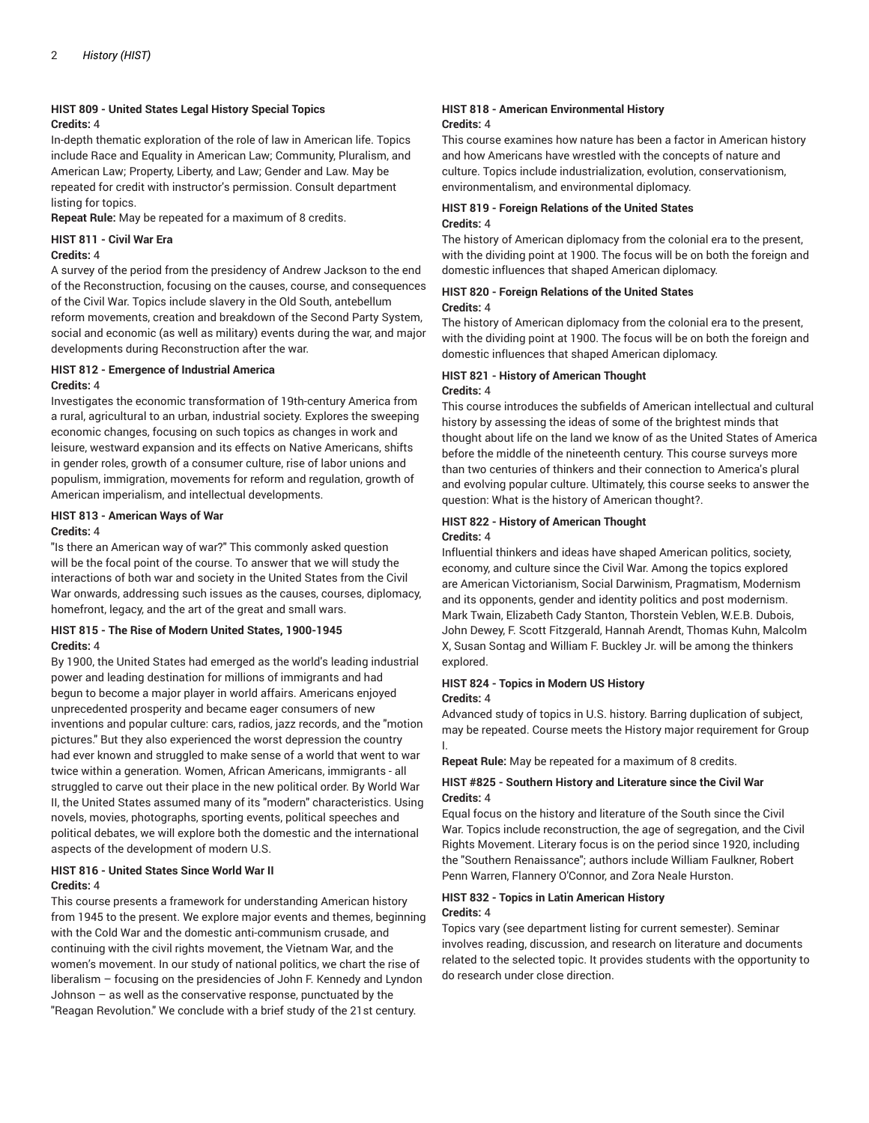#### **HIST 809 - United States Legal History Special Topics Credits:** 4

In-depth thematic exploration of the role of law in American life. Topics include Race and Equality in American Law; Community, Pluralism, and American Law; Property, Liberty, and Law; Gender and Law. May be repeated for credit with instructor's permission. Consult department listing for topics.

**Repeat Rule:** May be repeated for a maximum of 8 credits.

#### **HIST 811 - Civil War Era**

#### **Credits:** 4

A survey of the period from the presidency of Andrew Jackson to the end of the Reconstruction, focusing on the causes, course, and consequences of the Civil War. Topics include slavery in the Old South, antebellum reform movements, creation and breakdown of the Second Party System, social and economic (as well as military) events during the war, and major developments during Reconstruction after the war.

#### **HIST 812 - Emergence of Industrial America Credits:** 4

Investigates the economic transformation of 19th-century America from a rural, agricultural to an urban, industrial society. Explores the sweeping economic changes, focusing on such topics as changes in work and leisure, westward expansion and its effects on Native Americans, shifts in gender roles, growth of a consumer culture, rise of labor unions and populism, immigration, movements for reform and regulation, growth of American imperialism, and intellectual developments.

#### **HIST 813 - American Ways of War**

#### **Credits:** 4

"Is there an American way of war?" This commonly asked question will be the focal point of the course. To answer that we will study the interactions of both war and society in the United States from the Civil War onwards, addressing such issues as the causes, courses, diplomacy, homefront, legacy, and the art of the great and small wars.

#### **HIST 815 - The Rise of Modern United States, 1900-1945 Credits:** 4

By 1900, the United States had emerged as the world's leading industrial power and leading destination for millions of immigrants and had begun to become a major player in world affairs. Americans enjoyed unprecedented prosperity and became eager consumers of new inventions and popular culture: cars, radios, jazz records, and the "motion pictures." But they also experienced the worst depression the country had ever known and struggled to make sense of a world that went to war twice within a generation. Women, African Americans, immigrants - all struggled to carve out their place in the new political order. By World War II, the United States assumed many of its "modern" characteristics. Using novels, movies, photographs, sporting events, political speeches and political debates, we will explore both the domestic and the international aspects of the development of modern U.S.

#### **HIST 816 - United States Since World War II Credits:** 4

This course presents a framework for understanding American history from 1945 to the present. We explore major events and themes, beginning with the Cold War and the domestic anti-communism crusade, and continuing with the civil rights movement, the Vietnam War, and the women's movement. In our study of national politics, we chart the rise of liberalism – focusing on the presidencies of John F. Kennedy and Lyndon Johnson – as well as the conservative response, punctuated by the "Reagan Revolution." We conclude with a brief study of the 21st century.

#### **HIST 818 - American Environmental History Credits:** 4

This course examines how nature has been a factor in American history and how Americans have wrestled with the concepts of nature and culture. Topics include industrialization, evolution, conservationism, environmentalism, and environmental diplomacy.

#### **HIST 819 - Foreign Relations of the United States Credits:** 4

The history of American diplomacy from the colonial era to the present, with the dividing point at 1900. The focus will be on both the foreign and domestic influences that shaped American diplomacy.

#### **HIST 820 - Foreign Relations of the United States Credits:** 4

The history of American diplomacy from the colonial era to the present, with the dividing point at 1900. The focus will be on both the foreign and domestic influences that shaped American diplomacy.

#### **HIST 821 - History of American Thought Credits:** 4

This course introduces the subfields of American intellectual and cultural history by assessing the ideas of some of the brightest minds that thought about life on the land we know of as the United States of America before the middle of the nineteenth century. This course surveys more than two centuries of thinkers and their connection to America's plural and evolving popular culture. Ultimately, this course seeks to answer the question: What is the history of American thought?.

### **HIST 822 - History of American Thought**

#### **Credits:** 4

Influential thinkers and ideas have shaped American politics, society, economy, and culture since the Civil War. Among the topics explored are American Victorianism, Social Darwinism, Pragmatism, Modernism and its opponents, gender and identity politics and post modernism. Mark Twain, Elizabeth Cady Stanton, Thorstein Veblen, W.E.B. Dubois, John Dewey, F. Scott Fitzgerald, Hannah Arendt, Thomas Kuhn, Malcolm X, Susan Sontag and William F. Buckley Jr. will be among the thinkers explored.

#### **HIST 824 - Topics in Modern US History Credits:** 4

Advanced study of topics in U.S. history. Barring duplication of subject, may be repeated. Course meets the History major requirement for Group I.

**Repeat Rule:** May be repeated for a maximum of 8 credits.

#### **HIST #825 - Southern History and Literature since the Civil War Credits:** 4

Equal focus on the history and literature of the South since the Civil War. Topics include reconstruction, the age of segregation, and the Civil Rights Movement. Literary focus is on the period since 1920, including the "Southern Renaissance"; authors include William Faulkner, Robert Penn Warren, Flannery O'Connor, and Zora Neale Hurston.

#### **HIST 832 - Topics in Latin American History Credits:** 4

Topics vary (see department listing for current semester). Seminar involves reading, discussion, and research on literature and documents related to the selected topic. It provides students with the opportunity to do research under close direction.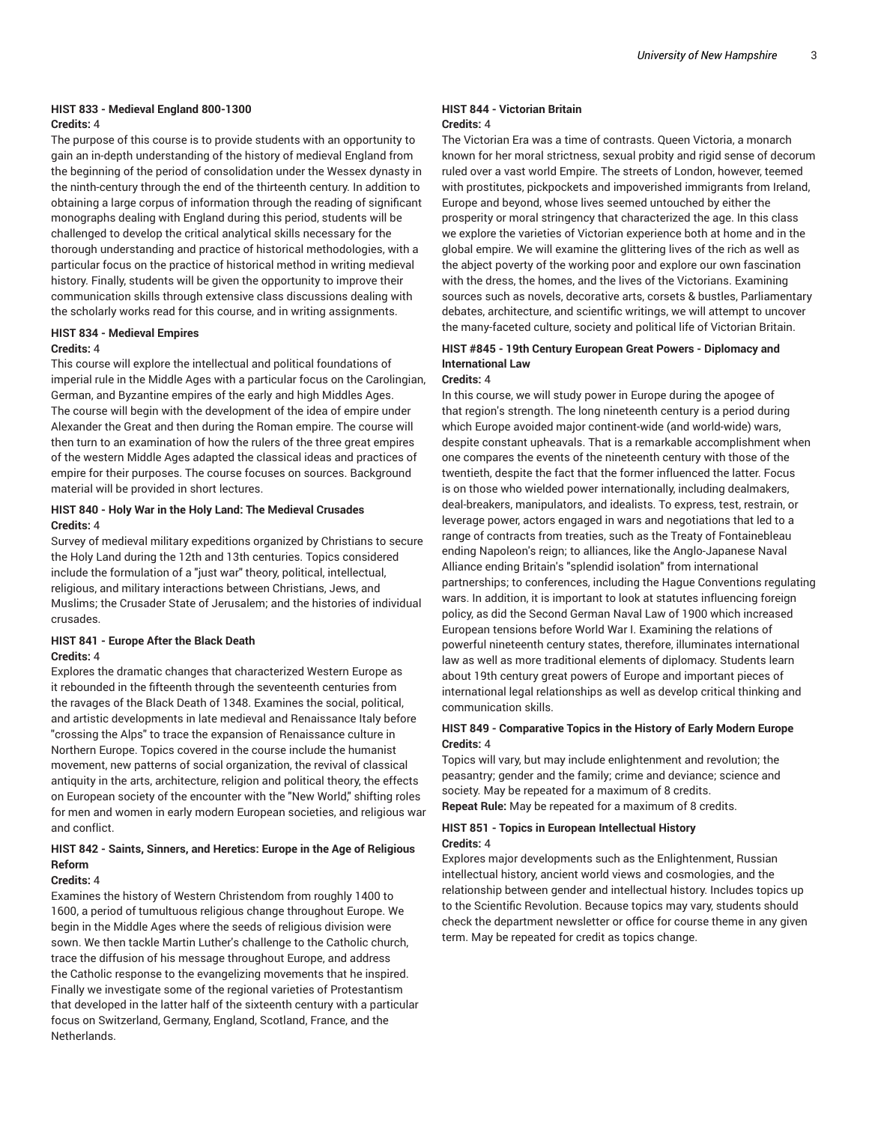#### **HIST 833 - Medieval England 800-1300 Credits:** 4

The purpose of this course is to provide students with an opportunity to gain an in-depth understanding of the history of medieval England from the beginning of the period of consolidation under the Wessex dynasty in the ninth-century through the end of the thirteenth century. In addition to obtaining a large corpus of information through the reading of significant monographs dealing with England during this period, students will be challenged to develop the critical analytical skills necessary for the thorough understanding and practice of historical methodologies, with a particular focus on the practice of historical method in writing medieval history. Finally, students will be given the opportunity to improve their communication skills through extensive class discussions dealing with the scholarly works read for this course, and in writing assignments.

#### **HIST 834 - Medieval Empires**

#### **Credits:** 4

This course will explore the intellectual and political foundations of imperial rule in the Middle Ages with a particular focus on the Carolingian, German, and Byzantine empires of the early and high Middles Ages. The course will begin with the development of the idea of empire under Alexander the Great and then during the Roman empire. The course will then turn to an examination of how the rulers of the three great empires of the western Middle Ages adapted the classical ideas and practices of empire for their purposes. The course focuses on sources. Background material will be provided in short lectures.

#### **HIST 840 - Holy War in the Holy Land: The Medieval Crusades Credits:** 4

Survey of medieval military expeditions organized by Christians to secure the Holy Land during the 12th and 13th centuries. Topics considered include the formulation of a "just war" theory, political, intellectual, religious, and military interactions between Christians, Jews, and Muslims; the Crusader State of Jerusalem; and the histories of individual crusades.

#### **HIST 841 - Europe After the Black Death Credits:** 4

Explores the dramatic changes that characterized Western Europe as it rebounded in the fifteenth through the seventeenth centuries from the ravages of the Black Death of 1348. Examines the social, political, and artistic developments in late medieval and Renaissance Italy before "crossing the Alps" to trace the expansion of Renaissance culture in Northern Europe. Topics covered in the course include the humanist movement, new patterns of social organization, the revival of classical antiquity in the arts, architecture, religion and political theory, the effects on European society of the encounter with the "New World," shifting roles for men and women in early modern European societies, and religious war and conflict.

#### **HIST 842 - Saints, Sinners, and Heretics: Europe in the Age of Religious Reform**

#### **Credits:** 4

Examines the history of Western Christendom from roughly 1400 to 1600, a period of tumultuous religious change throughout Europe. We begin in the Middle Ages where the seeds of religious division were sown. We then tackle Martin Luther's challenge to the Catholic church, trace the diffusion of his message throughout Europe, and address the Catholic response to the evangelizing movements that he inspired. Finally we investigate some of the regional varieties of Protestantism that developed in the latter half of the sixteenth century with a particular focus on Switzerland, Germany, England, Scotland, France, and the Netherlands.

#### **HIST 844 - Victorian Britain Credits:** 4

The Victorian Era was a time of contrasts. Queen Victoria, a monarch known for her moral strictness, sexual probity and rigid sense of decorum ruled over a vast world Empire. The streets of London, however, teemed with prostitutes, pickpockets and impoverished immigrants from Ireland, Europe and beyond, whose lives seemed untouched by either the prosperity or moral stringency that characterized the age. In this class we explore the varieties of Victorian experience both at home and in the global empire. We will examine the glittering lives of the rich as well as the abject poverty of the working poor and explore our own fascination with the dress, the homes, and the lives of the Victorians. Examining sources such as novels, decorative arts, corsets & bustles, Parliamentary debates, architecture, and scientific writings, we will attempt to uncover the many-faceted culture, society and political life of Victorian Britain.

#### **HIST #845 - 19th Century European Great Powers - Diplomacy and International Law**

#### **Credits:** 4

In this course, we will study power in Europe during the apogee of that region's strength. The long nineteenth century is a period during which Europe avoided major continent-wide (and world-wide) wars, despite constant upheavals. That is a remarkable accomplishment when one compares the events of the nineteenth century with those of the twentieth, despite the fact that the former influenced the latter. Focus is on those who wielded power internationally, including dealmakers, deal-breakers, manipulators, and idealists. To express, test, restrain, or leverage power, actors engaged in wars and negotiations that led to a range of contracts from treaties, such as the Treaty of Fontainebleau ending Napoleon's reign; to alliances, like the Anglo-Japanese Naval Alliance ending Britain's "splendid isolation" from international partnerships; to conferences, including the Hague Conventions regulating wars. In addition, it is important to look at statutes influencing foreign policy, as did the Second German Naval Law of 1900 which increased European tensions before World War I. Examining the relations of powerful nineteenth century states, therefore, illuminates international law as well as more traditional elements of diplomacy. Students learn about 19th century great powers of Europe and important pieces of international legal relationships as well as develop critical thinking and communication skills.

#### **HIST 849 - Comparative Topics in the History of Early Modern Europe Credits:** 4

Topics will vary, but may include enlightenment and revolution; the peasantry; gender and the family; crime and deviance; science and society. May be repeated for a maximum of 8 credits. **Repeat Rule:** May be repeated for a maximum of 8 credits.

#### **HIST 851 - Topics in European Intellectual History Credits:** 4

Explores major developments such as the Enlightenment, Russian intellectual history, ancient world views and cosmologies, and the relationship between gender and intellectual history. Includes topics up to the Scientific Revolution. Because topics may vary, students should check the department newsletter or office for course theme in any given term. May be repeated for credit as topics change.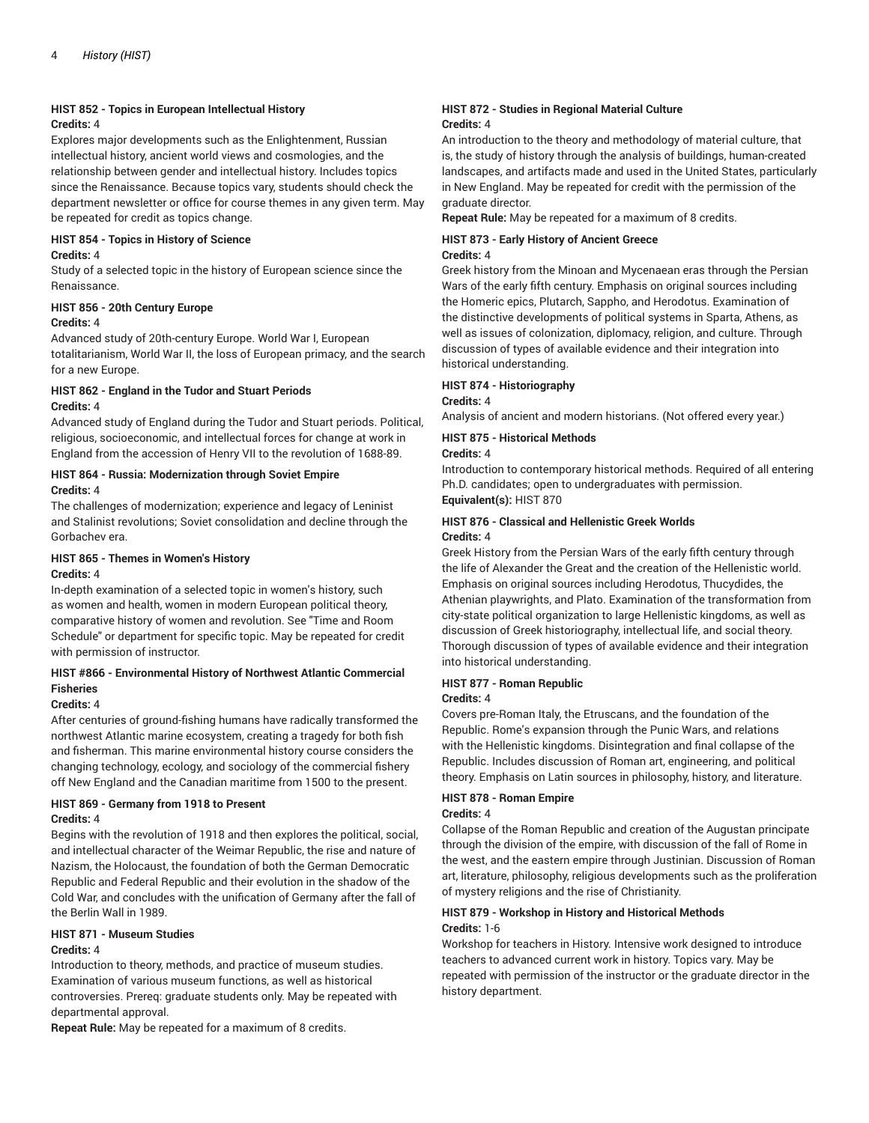#### **HIST 852 - Topics in European Intellectual History Credits:** 4

Explores major developments such as the Enlightenment, Russian intellectual history, ancient world views and cosmologies, and the relationship between gender and intellectual history. Includes topics since the Renaissance. Because topics vary, students should check the department newsletter or office for course themes in any given term. May be repeated for credit as topics change.

#### **HIST 854 - Topics in History of Science**

#### **Credits:** 4

Study of a selected topic in the history of European science since the Renaissance.

#### **HIST 856 - 20th Century Europe**

#### **Credits:** 4

Advanced study of 20th-century Europe. World War I, European totalitarianism, World War II, the loss of European primacy, and the search for a new Europe.

#### **HIST 862 - England in the Tudor and Stuart Periods Credits:** 4

Advanced study of England during the Tudor and Stuart periods. Political, religious, socioeconomic, and intellectual forces for change at work in England from the accession of Henry VII to the revolution of 1688-89.

#### **HIST 864 - Russia: Modernization through Soviet Empire Credits:** 4

The challenges of modernization; experience and legacy of Leninist and Stalinist revolutions; Soviet consolidation and decline through the Gorbachev era.

#### **HIST 865 - Themes in Women's History**

#### **Credits:** 4

In-depth examination of a selected topic in women's history, such as women and health, women in modern European political theory, comparative history of women and revolution. See "Time and Room Schedule" or department for specific topic. May be repeated for credit with permission of instructor.

#### **HIST #866 - Environmental History of Northwest Atlantic Commercial Fisheries**

#### **Credits:** 4

After centuries of ground-fishing humans have radically transformed the northwest Atlantic marine ecosystem, creating a tragedy for both fish and fisherman. This marine environmental history course considers the changing technology, ecology, and sociology of the commercial fishery off New England and the Canadian maritime from 1500 to the present.

#### **HIST 869 - Germany from 1918 to Present Credits:** 4

Begins with the revolution of 1918 and then explores the political, social, and intellectual character of the Weimar Republic, the rise and nature of Nazism, the Holocaust, the foundation of both the German Democratic Republic and Federal Republic and their evolution in the shadow of the Cold War, and concludes with the unification of Germany after the fall of the Berlin Wall in 1989.

#### **HIST 871 - Museum Studies Credits:** 4

Introduction to theory, methods, and practice of museum studies. Examination of various museum functions, as well as historical controversies. Prereq: graduate students only. May be repeated with departmental approval.

**Repeat Rule:** May be repeated for a maximum of 8 credits.

#### **HIST 872 - Studies in Regional Material Culture Credits:** 4

An introduction to the theory and methodology of material culture, that is, the study of history through the analysis of buildings, human-created landscapes, and artifacts made and used in the United States, particularly in New England. May be repeated for credit with the permission of the graduate director.

**Repeat Rule:** May be repeated for a maximum of 8 credits.

#### **HIST 873 - Early History of Ancient Greece Credits:** 4

Greek history from the Minoan and Mycenaean eras through the Persian Wars of the early fifth century. Emphasis on original sources including the Homeric epics, Plutarch, Sappho, and Herodotus. Examination of the distinctive developments of political systems in Sparta, Athens, as well as issues of colonization, diplomacy, religion, and culture. Through discussion of types of available evidence and their integration into historical understanding.

#### **HIST 874 - Historiography**

#### **Credits:** 4

Analysis of ancient and modern historians. (Not offered every year.)

#### **HIST 875 - Historical Methods**

#### **Credits:** 4

Introduction to contemporary historical methods. Required of all entering Ph.D. candidates; open to undergraduates with permission. **Equivalent(s):** HIST 870

#### **HIST 876 - Classical and Hellenistic Greek Worlds Credits:** 4

Greek History from the Persian Wars of the early fifth century through the life of Alexander the Great and the creation of the Hellenistic world. Emphasis on original sources including Herodotus, Thucydides, the Athenian playwrights, and Plato. Examination of the transformation from city-state political organization to large Hellenistic kingdoms, as well as discussion of Greek historiography, intellectual life, and social theory. Thorough discussion of types of available evidence and their integration into historical understanding.

#### **HIST 877 - Roman Republic**

#### **Credits:** 4

Covers pre-Roman Italy, the Etruscans, and the foundation of the Republic. Rome's expansion through the Punic Wars, and relations with the Hellenistic kingdoms. Disintegration and final collapse of the Republic. Includes discussion of Roman art, engineering, and political theory. Emphasis on Latin sources in philosophy, history, and literature.

#### **HIST 878 - Roman Empire**

#### **Credits:** 4

Collapse of the Roman Republic and creation of the Augustan principate through the division of the empire, with discussion of the fall of Rome in the west, and the eastern empire through Justinian. Discussion of Roman art, literature, philosophy, religious developments such as the proliferation of mystery religions and the rise of Christianity.

#### **HIST 879 - Workshop in History and Historical Methods Credits:** 1-6

Workshop for teachers in History. Intensive work designed to introduce teachers to advanced current work in history. Topics vary. May be repeated with permission of the instructor or the graduate director in the history department.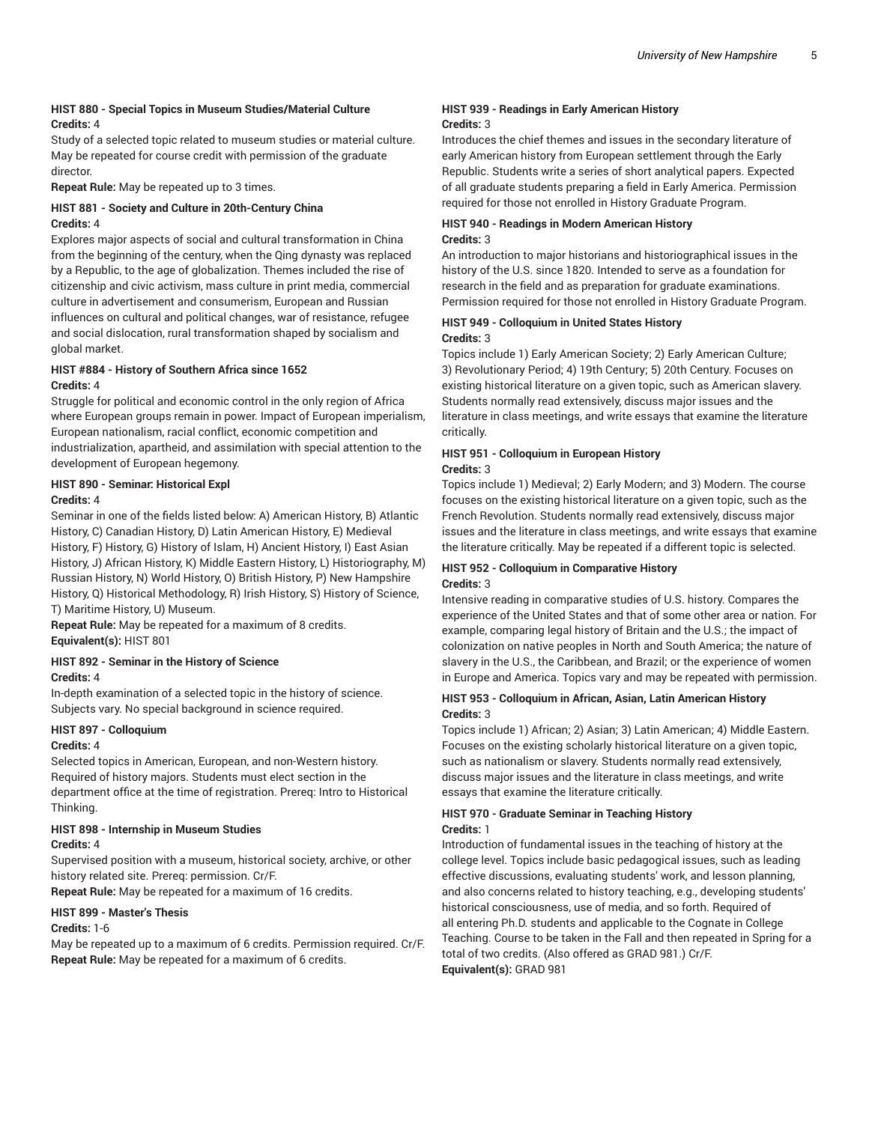#### **HIST 880 - Special Topics in Museum Studies/Material Culture Credits:** 4

Study of a selected topic related to museum studies or material culture. May be repeated for course credit with permission of the graduate director.

**Repeat Rule:** May be repeated up to 3 times.

#### **HIST 881 - Society and Culture in 20th-Century China Credits:** 4

Explores major aspects of social and cultural transformation in China from the beginning of the century, when the Qing dynasty was replaced by a Republic, to the age of globalization. Themes included the rise of citizenship and civic activism, mass culture in print media, commercial culture in advertisement and consumerism, European and Russian influences on cultural and political changes, war of resistance, refugee and social dislocation, rural transformation shaped by socialism and global market.

#### **HIST #884 - History of Southern Africa since 1652 Credits:** 4

Struggle for political and economic control in the only region of Africa where European groups remain in power. Impact of European imperialism, European nationalism, racial conflict, economic competition and industrialization, apartheid, and assimilation with special attention to the development of European hegemony.

#### **HIST 890 - Seminar: Historical Expl Credits:** 4

Seminar in one of the fields listed below: A) American History, B) Atlantic History, C) Canadian History, D) Latin American History, E) Medieval History, F) History, G) History of Islam, H) Ancient History, I) East Asian History, J) African History, K) Middle Eastern History, L) Historiography, M) Russian History, N) World History, O) British History, P) New Hampshire History, Q) Historical Methodology, R) Irish History, S) History of Science, T) Maritime History, U) Museum.

**Repeat Rule:** May be repeated for a maximum of 8 credits. **Equivalent(s):** HIST 801

## **HIST 892 - Seminar in the History of Science**

**Credits:** 4

In-depth examination of a selected topic in the history of science. Subjects vary. No special background in science required.

#### **HIST 897 - Colloquium**

#### **Credits:** 4

Selected topics in American, European, and non-Western history. Required of history majors. Students must elect section in the department office at the time of registration. Prereq: Intro to Historical Thinking.

## **HIST 898 - Internship in Museum Studies**

#### **Credits:** 4

Supervised position with a museum, historical society, archive, or other history related site. Prereq: permission. Cr/F.

**Repeat Rule:** May be repeated for a maximum of 16 credits.

#### **HIST 899 - Master's Thesis**

#### **Credits:** 1-6

May be repeated up to a maximum of 6 credits. Permission required. Cr/F. **Repeat Rule:** May be repeated for a maximum of 6 credits.

#### **HIST 939 - Readings in Early American History Credits:** 3

Introduces the chief themes and issues in the secondary literature of early American history from European settlement through the Early Republic. Students write a series of short analytical papers. Expected of all graduate students preparing a field in Early America. Permission required for those not enrolled in History Graduate Program.

#### **HIST 940 - Readings in Modern American History Credits:** 3

An introduction to major historians and historiographical issues in the history of the U.S. since 1820. Intended to serve as a foundation for research in the field and as preparation for graduate examinations. Permission required for those not enrolled in History Graduate Program.

#### **HIST 949 - Colloquium in United States History Credits:** 3

Topics include 1) Early American Society; 2) Early American Culture; 3) Revolutionary Period; 4) 19th Century; 5) 20th Century. Focuses on existing historical literature on a given topic, such as American slavery. Students normally read extensively, discuss major issues and the literature in class meetings, and write essays that examine the literature critically.

#### **HIST 951 - Colloquium in European History Credits:** 3

Topics include 1) Medieval; 2) Early Modern; and 3) Modern. The course focuses on the existing historical literature on a given topic, such as the French Revolution. Students normally read extensively, discuss major issues and the literature in class meetings, and write essays that examine the literature critically. May be repeated if a different topic is selected.

#### **HIST 952 - Colloquium in Comparative History Credits:** 3

Intensive reading in comparative studies of U.S. history. Compares the experience of the United States and that of some other area or nation. For example, comparing legal history of Britain and the U.S.; the impact of colonization on native peoples in North and South America; the nature of slavery in the U.S., the Caribbean, and Brazil; or the experience of women in Europe and America. Topics vary and may be repeated with permission.

#### **HIST 953 - Colloquium in African, Asian, Latin American History Credits:** 3

Topics include 1) African; 2) Asian; 3) Latin American; 4) Middle Eastern. Focuses on the existing scholarly historical literature on a given topic, such as nationalism or slavery. Students normally read extensively, discuss major issues and the literature in class meetings, and write essays that examine the literature critically.

#### **HIST 970 - Graduate Seminar in Teaching History Credits:** 1

Introduction of fundamental issues in the teaching of history at the college level. Topics include basic pedagogical issues, such as leading effective discussions, evaluating students' work, and lesson planning, and also concerns related to history teaching, e.g., developing students' historical consciousness, use of media, and so forth. Required of all entering Ph.D. students and applicable to the Cognate in College Teaching. Course to be taken in the Fall and then repeated in Spring for a total of two credits. (Also offered as GRAD 981.) Cr/F. **Equivalent(s):** GRAD 981